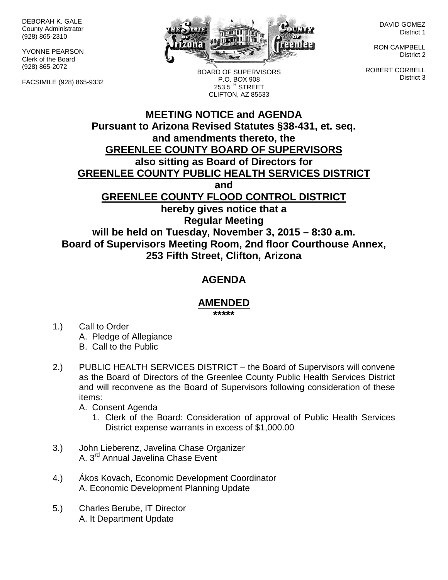DEBORAH K. GALE County Administrator (928) 865-2310

YVONNE PEARSON Clerk of the Board (928) 865-2072

FACSIMILE (928) 865-9332



BOARD OF SUPERVISORS P.O. BOX 908  $2535^{\text{TH}}$  STREET CLIFTON, AZ 85533

DAVID GOMEZ District 1

RON CAMPBELL District 2

ROBERT CORBELL District 3

## **MEETING NOTICE and AGENDA Pursuant to Arizona Revised Statutes §38-431, et. seq. and amendments thereto, the GREENLEE COUNTY BOARD OF SUPERVISORS also sitting as Board of Directors for GREENLEE COUNTY PUBLIC HEALTH SERVICES DISTRICT and GREENLEE COUNTY FLOOD CONTROL DISTRICT hereby gives notice that a Regular Meeting will be held on Tuesday, November 3, 2015 – 8:30 a.m. Board of Supervisors Meeting Room, 2nd floor Courthouse Annex,**

**253 Fifth Street, Clifton, Arizona**

## **AGENDA**

## **AMENDED**

**\*\*\*\*\***

- 1.) Call to Order A. Pledge of Allegiance B. Call to the Public
- 2.) PUBLIC HEALTH SERVICES DISTRICT the Board of Supervisors will convene as the Board of Directors of the Greenlee County Public Health Services District and will reconvene as the Board of Supervisors following consideration of these items:
	- A. Consent Agenda
		- 1. Clerk of the Board: Consideration of approval of Public Health Services District expense warrants in excess of \$1,000.00
- 3.) John Lieberenz, Javelina Chase Organizer A. 3rd Annual Javelina Chase Event
- 4.) Ákos Kovach, Economic Development Coordinator A. Economic Development Planning Update
- 5.) Charles Berube, IT Director A. It Department Update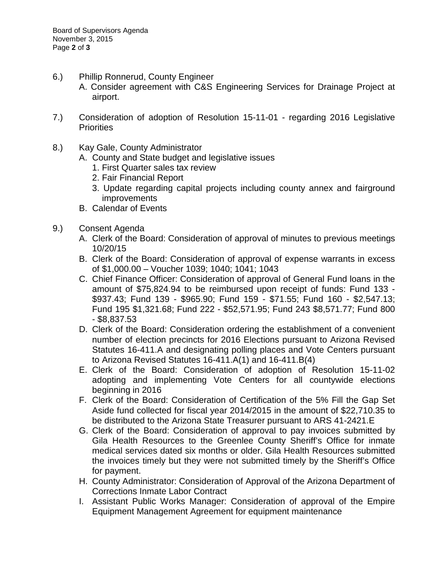- 6.) Phillip Ronnerud, County Engineer
	- A. Consider agreement with C&S Engineering Services for Drainage Project at airport.
- 7.) Consideration of adoption of Resolution 15-11-01 regarding 2016 Legislative **Priorities**
- 8.) Kay Gale, County Administrator
	- A. County and State budget and legislative issues
		- 1. First Quarter sales tax review
		- 2. Fair Financial Report
		- 3. Update regarding capital projects including county annex and fairground improvements
	- B. Calendar of Events
- 9.) Consent Agenda
	- A. Clerk of the Board: Consideration of approval of minutes to previous meetings 10/20/15
	- B. Clerk of the Board: Consideration of approval of expense warrants in excess of \$1,000.00 – Voucher 1039; 1040; 1041; 1043
	- C. Chief Finance Officer: Consideration of approval of General Fund loans in the amount of \$75,824.94 to be reimbursed upon receipt of funds: Fund 133 - \$937.43; Fund 139 - \$965.90; Fund 159 - \$71.55; Fund 160 - \$2,547.13; Fund 195 \$1,321.68; Fund 222 - \$52,571.95; Fund 243 \$8,571.77; Fund 800 - \$8,837.53
	- D. Clerk of the Board: Consideration ordering the establishment of a convenient number of election precincts for 2016 Elections pursuant to Arizona Revised Statutes 16-411.A and designating polling places and Vote Centers pursuant to Arizona Revised Statutes 16-411.A(1) and 16-411.B(4)
	- E. Clerk of the Board: Consideration of adoption of Resolution 15-11-02 adopting and implementing Vote Centers for all countywide elections beginning in 2016
	- F. Clerk of the Board: Consideration of Certification of the 5% Fill the Gap Set Aside fund collected for fiscal year 2014/2015 in the amount of \$22,710.35 to be distributed to the Arizona State Treasurer pursuant to ARS 41-2421.E
	- G. Clerk of the Board: Consideration of approval to pay invoices submitted by Gila Health Resources to the Greenlee County Sheriff's Office for inmate medical services dated six months or older. Gila Health Resources submitted the invoices timely but they were not submitted timely by the Sheriff's Office for payment.
	- H. County Administrator: Consideration of Approval of the Arizona Department of Corrections Inmate Labor Contract
	- I. Assistant Public Works Manager: Consideration of approval of the Empire Equipment Management Agreement for equipment maintenance